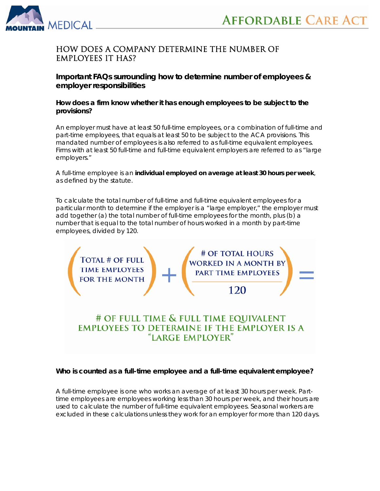



## How does a company determine the number of employees it has?

**Important FAQs surrounding how to determine number of employees & employer responsibilities** 

#### *How does a firm know whether it has enough employees to be subject to the provisions?*

An employer must have at least 50 full-time employees, or a combination of full-time *and part-time employees,* that equals at least 50 to be subject to the ACA provisions. This mandated number of employees is also referred to as full-time equivalent employees. Firms with at least 50 full-time and full-time equivalent employers are referred to as "large employers."

A full-time employee is an **individual employed on average at least 30 hours per week**, as defined by the statute.

To calculate the total number of full-time and full-time equivalent employees for a particular month to determine if the employer is a "large employer," the employer must add together (a) the total number of full-time employees for the month, plus (b) a number that is equal to the total number of hours worked in a month by part-time employees, divided by 120.



# *Who is counted as a full-time employee and a full-time equivalent employee?*

A full-time employee is one who works an average of at least 30 hours per week. Parttime employees are employees working less than 30 hours per week, and their hours are used to calculate the number of full-time equivalent employees. Seasonal workers are excluded in these calculations unless they work for an employer for more than 120 days.